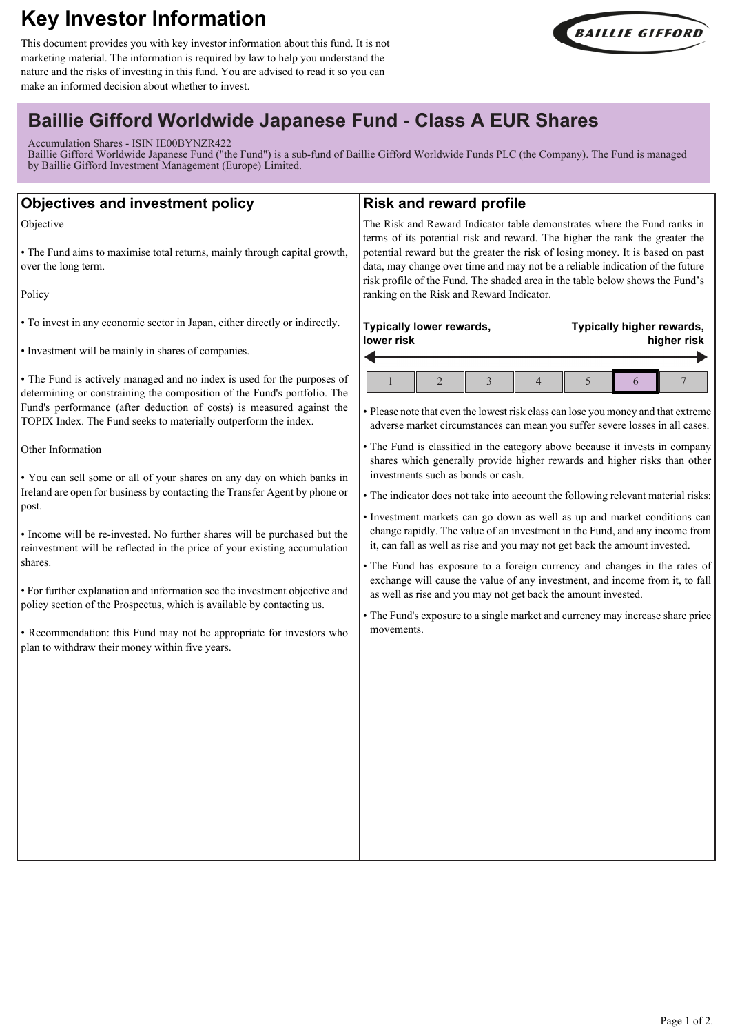# **Key Investor Information**

This document provides you with key investor information about this fund. It is not marketing material. The information is required by law to help you understand the nature and the risks of investing in this fund. You are advised to read it so you can make an informed decision about whether to invest.



# **Baillie Gifford Worldwide Japanese Fund - Class A EUR Shares**

Accumulation Shares - ISIN IE00BYNZR422

Baillie Gifford Worldwide Japanese Fund ("the Fund") is a sub-fund of Baillie Gifford Worldwide Funds PLC (the Company). The Fund is managed by Baillie Gifford Investment Management (Europe) Limited.

| <b>Objectives and investment policy</b>                                                                                                                                                                                                                                                                                                                                                                                                                                                                                                                                                                                                                                                                                                                                                                                                                                                                                                                                                                                                                                             | <b>Risk and reward profile</b>                                                                                                                                                                                                                                                                                                                                                                                                                                                                                                                                                                                                                                                                                                                                                                                                                                                                                                                                                                                                                                                                                                                                                                                |
|-------------------------------------------------------------------------------------------------------------------------------------------------------------------------------------------------------------------------------------------------------------------------------------------------------------------------------------------------------------------------------------------------------------------------------------------------------------------------------------------------------------------------------------------------------------------------------------------------------------------------------------------------------------------------------------------------------------------------------------------------------------------------------------------------------------------------------------------------------------------------------------------------------------------------------------------------------------------------------------------------------------------------------------------------------------------------------------|---------------------------------------------------------------------------------------------------------------------------------------------------------------------------------------------------------------------------------------------------------------------------------------------------------------------------------------------------------------------------------------------------------------------------------------------------------------------------------------------------------------------------------------------------------------------------------------------------------------------------------------------------------------------------------------------------------------------------------------------------------------------------------------------------------------------------------------------------------------------------------------------------------------------------------------------------------------------------------------------------------------------------------------------------------------------------------------------------------------------------------------------------------------------------------------------------------------|
| Objective<br>• The Fund aims to maximise total returns, mainly through capital growth,<br>over the long term.<br>Policy                                                                                                                                                                                                                                                                                                                                                                                                                                                                                                                                                                                                                                                                                                                                                                                                                                                                                                                                                             | The Risk and Reward Indicator table demonstrates where the Fund ranks in<br>terms of its potential risk and reward. The higher the rank the greater the<br>potential reward but the greater the risk of losing money. It is based on past<br>data, may change over time and may not be a reliable indication of the future<br>risk profile of the Fund. The shaded area in the table below shows the Fund's<br>ranking on the Risk and Reward Indicator.                                                                                                                                                                                                                                                                                                                                                                                                                                                                                                                                                                                                                                                                                                                                                      |
| • To invest in any economic sector in Japan, either directly or indirectly.<br>• Investment will be mainly in shares of companies.<br>• The Fund is actively managed and no index is used for the purposes of<br>determining or constraining the composition of the Fund's portfolio. The<br>Fund's performance (after deduction of costs) is measured against the<br>TOPIX Index. The Fund seeks to materially outperform the index.<br>Other Information<br>. You can sell some or all of your shares on any day on which banks in<br>Ireland are open for business by contacting the Transfer Agent by phone or<br>post.<br>• Income will be re-invested. No further shares will be purchased but the<br>reinvestment will be reflected in the price of your existing accumulation<br>shares.<br>• For further explanation and information see the investment objective and<br>policy section of the Prospectus, which is available by contacting us.<br>• Recommendation: this Fund may not be appropriate for investors who<br>plan to withdraw their money within five years. | Typically lower rewards,<br>Typically higher rewards,<br>lower risk<br>higher risk<br>$\boldsymbol{7}$<br>$\overline{2}$<br>$\overline{3}$<br>5<br>$\mathbf{1}$<br>4<br>6<br>• Please note that even the lowest risk class can lose you money and that extreme<br>adverse market circumstances can mean you suffer severe losses in all cases.<br>• The Fund is classified in the category above because it invests in company<br>shares which generally provide higher rewards and higher risks than other<br>investments such as bonds or cash.<br>• The indicator does not take into account the following relevant material risks:<br>· Investment markets can go down as well as up and market conditions can<br>change rapidly. The value of an investment in the Fund, and any income from<br>it, can fall as well as rise and you may not get back the amount invested.<br>• The Fund has exposure to a foreign currency and changes in the rates of<br>exchange will cause the value of any investment, and income from it, to fall<br>as well as rise and you may not get back the amount invested.<br>• The Fund's exposure to a single market and currency may increase share price<br>movements. |